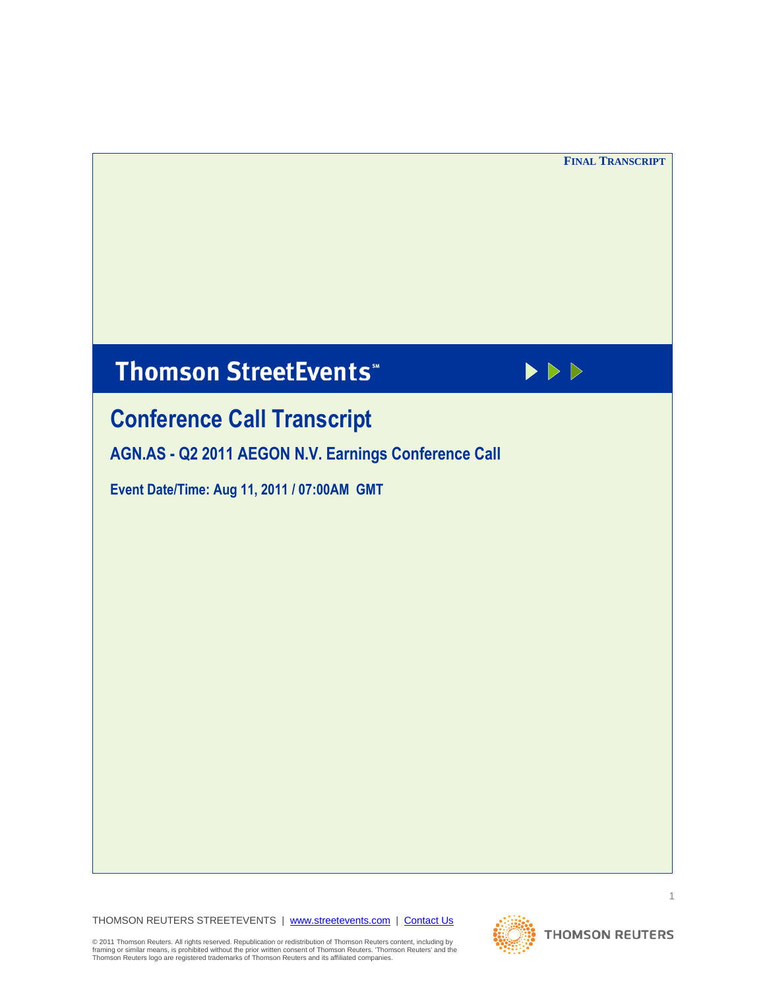# **Thomson StreetEvents**\*



# **Conference Call Transcript**

**AGN.AS - Q2 2011 AEGON N.V. Earnings Conference Call**

**Event Date/Time: Aug 11, 2011 / 07:00AM GMT** 

THOMSON REUTERS STREETEVENTS | www.streetevents.com | Contact Us

© 2011 Thomson Reuters. All rights reserved. Republication or redistribution of Thomson Reuters content, including by<br>framing or similar means, is prohibited without the prior written consent of Thomson Reuters. 'Thomson

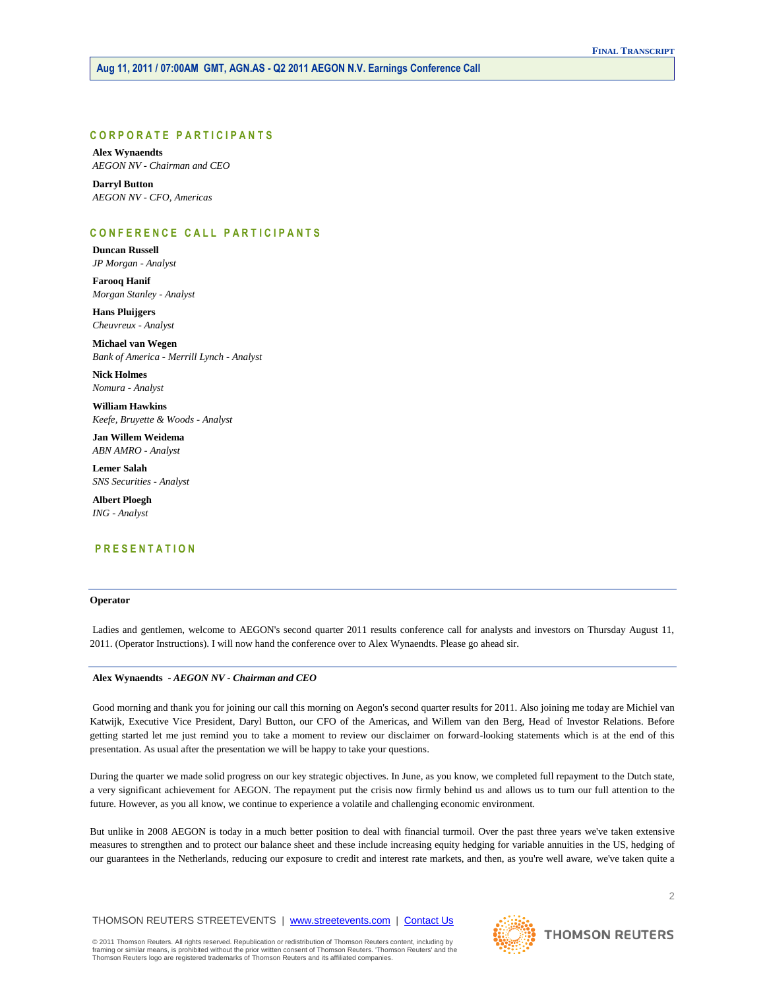# **C O R P O R A T E P A R T I C I P A N T S**

**Alex Wynaendts** *AEGON NV - Chairman and CEO*

**Darryl Button** *AEGON NV - CFO, Americas*

# **C O N F E R E N C E C A L L P A R T I C I P A N T S**

**Duncan Russell** *JP Morgan - Analyst*

**Farooq Hanif** *Morgan Stanley - Analyst*

**Hans Pluijgers** *Cheuvreux - Analyst*

**Michael van Wegen** *Bank of America - Merrill Lynch - Analyst*

**Nick Holmes** *Nomura - Analyst*

**William Hawkins** *Keefe, Bruyette & Woods - Analyst*

**Jan Willem Weidema** *ABN AMRO - Analyst*

**Lemer Salah** *SNS Securities - Analyst*

**Albert Ploegh** *ING - Analyst*

# **P R E S E N T A T I O N**

## **Operator**

Ladies and gentlemen, welcome to AEGON's second quarter 2011 results conference call for analysts and investors on Thursday August 11, 2011. (Operator Instructions). I will now hand the conference over to Alex Wynaendts. Please go ahead sir.

## **Alex Wynaendts** *- AEGON NV - Chairman and CEO*

Good morning and thank you for joining our call this morning on Aegon's second quarter results for 2011. Also joining me today are Michiel van Katwijk, Executive Vice President, Daryl Button, our CFO of the Americas, and Willem van den Berg, Head of Investor Relations. Before getting started let me just remind you to take a moment to review our disclaimer on forward-looking statements which is at the end of this presentation. As usual after the presentation we will be happy to take your questions.

During the quarter we made solid progress on our key strategic objectives. In June, as you know, we completed full repayment to the Dutch state, a very significant achievement for AEGON. The repayment put the crisis now firmly behind us and allows us to turn our full attention to the future. However, as you all know, we continue to experience a volatile and challenging economic environment.

But unlike in 2008 AEGON is today in a much better position to deal with financial turmoil. Over the past three years we've taken extensive measures to strengthen and to protect our balance sheet and these include increasing equity hedging for variable annuities in the US, hedging of our guarantees in the Netherlands, reducing our exposure to credit and interest rate markets, and then, as you're well aware, we've taken quite a

THOMSON REUTERS STREETEVENTS | www.streetevents.com | Contact Us

© 2011 Thomson Reuters. All rights reserved. Republication or redistribution of Thomson Reuters content, including by framing or similar means, is prohibited without the prior written consent of Thomson Reuters. 'Thomson Reuters' and the Thomson Reuters logo are registered trademarks of Thomson Reuters and its affiliated companies.

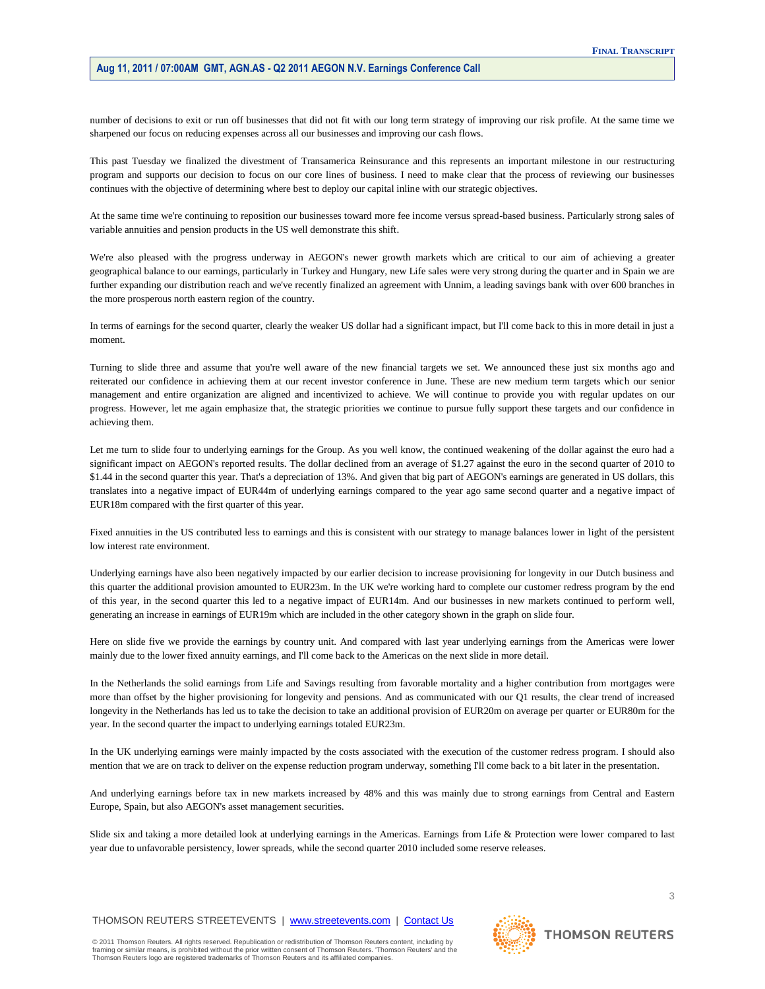number of decisions to exit or run off businesses that did not fit with our long term strategy of improving our risk profile. At the same time we sharpened our focus on reducing expenses across all our businesses and improving our cash flows.

This past Tuesday we finalized the divestment of Transamerica Reinsurance and this represents an important milestone in our restructuring program and supports our decision to focus on our core lines of business. I need to make clear that the process of reviewing our businesses continues with the objective of determining where best to deploy our capital inline with our strategic objectives.

At the same time we're continuing to reposition our businesses toward more fee income versus spread-based business. Particularly strong sales of variable annuities and pension products in the US well demonstrate this shift.

We're also pleased with the progress underway in AEGON's newer growth markets which are critical to our aim of achieving a greater geographical balance to our earnings, particularly in Turkey and Hungary, new Life sales were very strong during the quarter and in Spain we are further expanding our distribution reach and we've recently finalized an agreement with Unnim, a leading savings bank with over 600 branches in the more prosperous north eastern region of the country.

In terms of earnings for the second quarter, clearly the weaker US dollar had a significant impact, but I'll come back to this in more detail in just a moment.

Turning to slide three and assume that you're well aware of the new financial targets we set. We announced these just six months ago and reiterated our confidence in achieving them at our recent investor conference in June. These are new medium term targets which our senior management and entire organization are aligned and incentivized to achieve. We will continue to provide you with regular updates on our progress. However, let me again emphasize that, the strategic priorities we continue to pursue fully support these targets and our confidence in achieving them.

Let me turn to slide four to underlying earnings for the Group. As you well know, the continued weakening of the dollar against the euro had a significant impact on AEGON's reported results. The dollar declined from an average of \$1.27 against the euro in the second quarter of 2010 to \$1.44 in the second quarter this year. That's a depreciation of 13%. And given that big part of AEGON's earnings are generated in US dollars, this translates into a negative impact of EUR44m of underlying earnings compared to the year ago same second quarter and a negative impact of EUR18m compared with the first quarter of this year.

Fixed annuities in the US contributed less to earnings and this is consistent with our strategy to manage balances lower in light of the persistent low interest rate environment.

Underlying earnings have also been negatively impacted by our earlier decision to increase provisioning for longevity in our Dutch business and this quarter the additional provision amounted to EUR23m. In the UK we're working hard to complete our customer redress program by the end of this year, in the second quarter this led to a negative impact of EUR14m. And our businesses in new markets continued to perform well, generating an increase in earnings of EUR19m which are included in the other category shown in the graph on slide four.

Here on slide five we provide the earnings by country unit. And compared with last year underlying earnings from the Americas were lower mainly due to the lower fixed annuity earnings, and I'll come back to the Americas on the next slide in more detail.

In the Netherlands the solid earnings from Life and Savings resulting from favorable mortality and a higher contribution from mortgages were more than offset by the higher provisioning for longevity and pensions. And as communicated with our Q1 results, the clear trend of increased longevity in the Netherlands has led us to take the decision to take an additional provision of EUR20m on average per quarter or EUR80m for the year. In the second quarter the impact to underlying earnings totaled EUR23m.

In the UK underlying earnings were mainly impacted by the costs associated with the execution of the customer redress program. I should also mention that we are on track to deliver on the expense reduction program underway, something I'll come back to a bit later in the presentation.

And underlying earnings before tax in new markets increased by 48% and this was mainly due to strong earnings from Central and Eastern Europe, Spain, but also AEGON's asset management securities.

Slide six and taking a more detailed look at underlying earnings in the Americas. Earnings from Life & Protection were lower compared to last year due to unfavorable persistency, lower spreads, while the second quarter 2010 included some reserve releases.

# THOMSON REUTERS STREETEVENTS | www.streetevents.com | Contact Us

© 2011 Thomson Reuters. All rights reserved. Republication or redistribution of Thomson Reuters content, including by framing or similar means, is prohibited without the prior written consent of Thomson Reuters. 'Thomson Reuters' and the<br>Thomson Reuters logo are registered trademarks of Thomson Reuters and its affiliated companies.

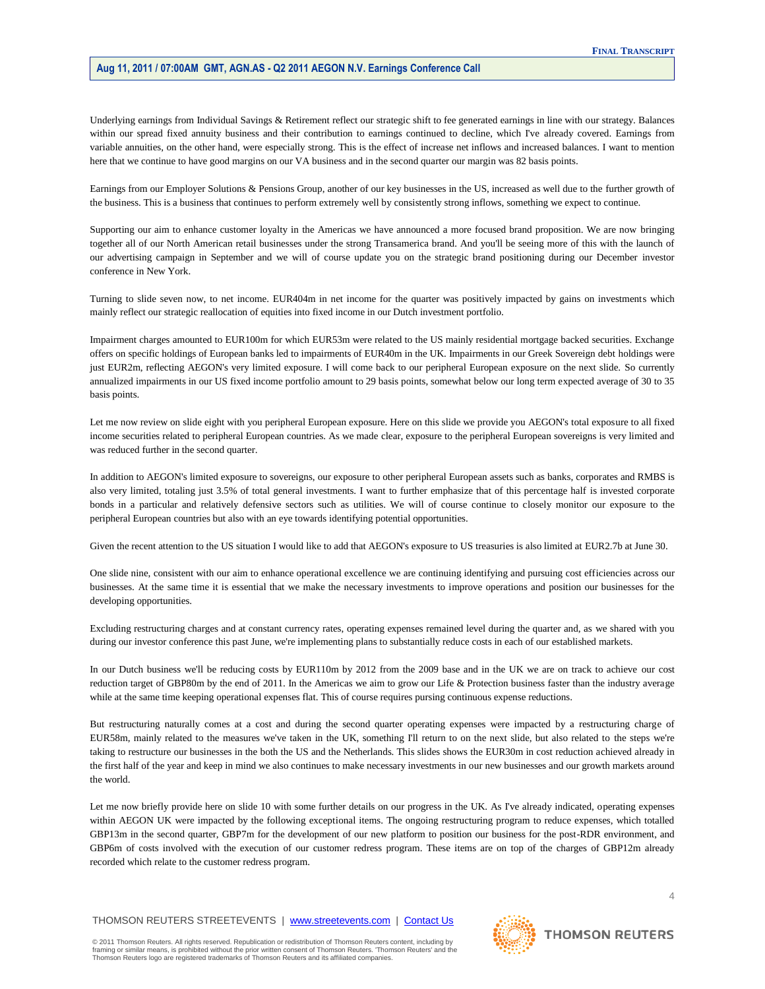Underlying earnings from Individual Savings & Retirement reflect our strategic shift to fee generated earnings in line with our strategy. Balances within our spread fixed annuity business and their contribution to earnings continued to decline, which I've already covered. Earnings from variable annuities, on the other hand, were especially strong. This is the effect of increase net inflows and increased balances. I want to mention here that we continue to have good margins on our VA business and in the second quarter our margin was 82 basis points.

Earnings from our Employer Solutions & Pensions Group, another of our key businesses in the US, increased as well due to the further growth of the business. This is a business that continues to perform extremely well by consistently strong inflows, something we expect to continue.

Supporting our aim to enhance customer loyalty in the Americas we have announced a more focused brand proposition. We are now bringing together all of our North American retail businesses under the strong Transamerica brand. And you'll be seeing more of this with the launch of our advertising campaign in September and we will of course update you on the strategic brand positioning during our December investor conference in New York.

Turning to slide seven now, to net income. EUR404m in net income for the quarter was positively impacted by gains on investments which mainly reflect our strategic reallocation of equities into fixed income in our Dutch investment portfolio.

Impairment charges amounted to EUR100m for which EUR53m were related to the US mainly residential mortgage backed securities. Exchange offers on specific holdings of European banks led to impairments of EUR40m in the UK. Impairments in our Greek Sovereign debt holdings were just EUR2m, reflecting AEGON's very limited exposure. I will come back to our peripheral European exposure on the next slide. So currently annualized impairments in our US fixed income portfolio amount to 29 basis points, somewhat below our long term expected average of 30 to 35 basis points.

Let me now review on slide eight with you peripheral European exposure. Here on this slide we provide you AEGON's total exposure to all fixed income securities related to peripheral European countries. As we made clear, exposure to the peripheral European sovereigns is very limited and was reduced further in the second quarter.

In addition to AEGON's limited exposure to sovereigns, our exposure to other peripheral European assets such as banks, corporates and RMBS is also very limited, totaling just 3.5% of total general investments. I want to further emphasize that of this percentage half is invested corporate bonds in a particular and relatively defensive sectors such as utilities. We will of course continue to closely monitor our exposure to the peripheral European countries but also with an eye towards identifying potential opportunities.

Given the recent attention to the US situation I would like to add that AEGON's exposure to US treasuries is also limited at EUR2.7b at June 30.

One slide nine, consistent with our aim to enhance operational excellence we are continuing identifying and pursuing cost efficiencies across our businesses. At the same time it is essential that we make the necessary investments to improve operations and position our businesses for the developing opportunities.

Excluding restructuring charges and at constant currency rates, operating expenses remained level during the quarter and, as we shared with you during our investor conference this past June, we're implementing plans to substantially reduce costs in each of our established markets.

In our Dutch business we'll be reducing costs by EUR110m by 2012 from the 2009 base and in the UK we are on track to achieve our cost reduction target of GBP80m by the end of 2011. In the Americas we aim to grow our Life & Protection business faster than the industry average while at the same time keeping operational expenses flat. This of course requires pursing continuous expense reductions.

But restructuring naturally comes at a cost and during the second quarter operating expenses were impacted by a restructuring charge of EUR58m, mainly related to the measures we've taken in the UK, something I'll return to on the next slide, but also related to the steps we're taking to restructure our businesses in the both the US and the Netherlands. This slides shows the EUR30m in cost reduction achieved already in the first half of the year and keep in mind we also continues to make necessary investments in our new businesses and our growth markets around the world.

Let me now briefly provide here on slide 10 with some further details on our progress in the UK. As I've already indicated, operating expenses within AEGON UK were impacted by the following exceptional items. The ongoing restructuring program to reduce expenses, which totalled GBP13m in the second quarter, GBP7m for the development of our new platform to position our business for the post-RDR environment, and GBP6m of costs involved with the execution of our customer redress program. These items are on top of the charges of GBP12m already recorded which relate to the customer redress program.

# THOMSON REUTERS STREETEVENTS | www.streetevents.com | Contact Us

© 2011 Thomson Reuters. All rights reserved. Republication or redistribution of Thomson Reuters content, including by framing or similar means, is prohibited without the prior written consent of Thomson Reuters. 'Thomson Reuters' and the<br>Thomson Reuters logo are registered trademarks of Thomson Reuters and its affiliated companies.

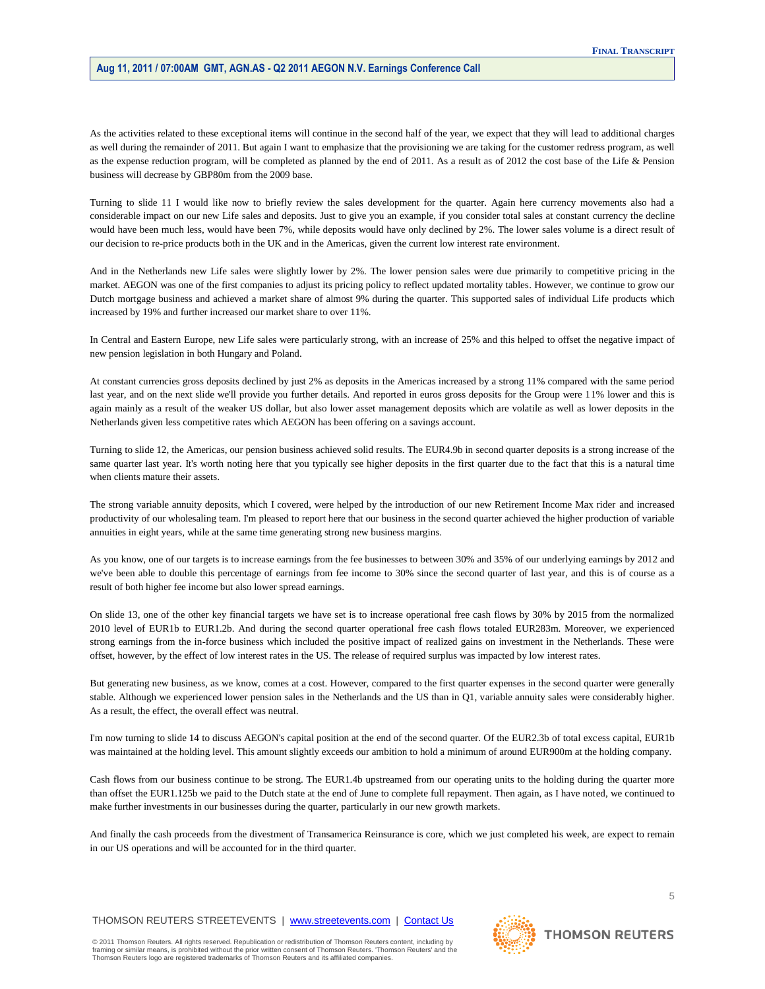As the activities related to these exceptional items will continue in the second half of the year, we expect that they will lead to additional charges as well during the remainder of 2011. But again I want to emphasize that the provisioning we are taking for the customer redress program, as well as the expense reduction program, will be completed as planned by the end of 2011. As a result as of 2012 the cost base of the Life & Pension business will decrease by GBP80m from the 2009 base.

Turning to slide 11 I would like now to briefly review the sales development for the quarter. Again here currency movements also had a considerable impact on our new Life sales and deposits. Just to give you an example, if you consider total sales at constant currency the decline would have been much less, would have been 7%, while deposits would have only declined by 2%. The lower sales volume is a direct result of our decision to re-price products both in the UK and in the Americas, given the current low interest rate environment.

And in the Netherlands new Life sales were slightly lower by 2%. The lower pension sales were due primarily to competitive pricing in the market. AEGON was one of the first companies to adjust its pricing policy to reflect updated mortality tables. However, we continue to grow our Dutch mortgage business and achieved a market share of almost 9% during the quarter. This supported sales of individual Life products which increased by 19% and further increased our market share to over 11%.

In Central and Eastern Europe, new Life sales were particularly strong, with an increase of 25% and this helped to offset the negative impact of new pension legislation in both Hungary and Poland.

At constant currencies gross deposits declined by just 2% as deposits in the Americas increased by a strong 11% compared with the same period last year, and on the next slide we'll provide you further details. And reported in euros gross deposits for the Group were 11% lower and this is again mainly as a result of the weaker US dollar, but also lower asset management deposits which are volatile as well as lower deposits in the Netherlands given less competitive rates which AEGON has been offering on a savings account.

Turning to slide 12, the Americas, our pension business achieved solid results. The EUR4.9b in second quarter deposits is a strong increase of the same quarter last year. It's worth noting here that you typically see higher deposits in the first quarter due to the fact that this is a natural time when clients mature their assets.

The strong variable annuity deposits, which I covered, were helped by the introduction of our new Retirement Income Max rider and increased productivity of our wholesaling team. I'm pleased to report here that our business in the second quarter achieved the higher production of variable annuities in eight years, while at the same time generating strong new business margins.

As you know, one of our targets is to increase earnings from the fee businesses to between 30% and 35% of our underlying earnings by 2012 and we've been able to double this percentage of earnings from fee income to 30% since the second quarter of last year, and this is of course as a result of both higher fee income but also lower spread earnings.

On slide 13, one of the other key financial targets we have set is to increase operational free cash flows by 30% by 2015 from the normalized 2010 level of EUR1b to EUR1.2b. And during the second quarter operational free cash flows totaled EUR283m. Moreover, we experienced strong earnings from the in-force business which included the positive impact of realized gains on investment in the Netherlands. These were offset, however, by the effect of low interest rates in the US. The release of required surplus was impacted by low interest rates.

But generating new business, as we know, comes at a cost. However, compared to the first quarter expenses in the second quarter were generally stable. Although we experienced lower pension sales in the Netherlands and the US than in Q1, variable annuity sales were considerably higher. As a result, the effect, the overall effect was neutral.

I'm now turning to slide 14 to discuss AEGON's capital position at the end of the second quarter. Of the EUR2.3b of total excess capital, EUR1b was maintained at the holding level. This amount slightly exceeds our ambition to hold a minimum of around EUR900m at the holding company.

Cash flows from our business continue to be strong. The EUR1.4b upstreamed from our operating units to the holding during the quarter more than offset the EUR1.125b we paid to the Dutch state at the end of June to complete full repayment. Then again, as I have noted, we continued to make further investments in our businesses during the quarter, particularly in our new growth markets.

And finally the cash proceeds from the divestment of Transamerica Reinsurance is core, which we just completed his week, are expect to remain in our US operations and will be accounted for in the third quarter.

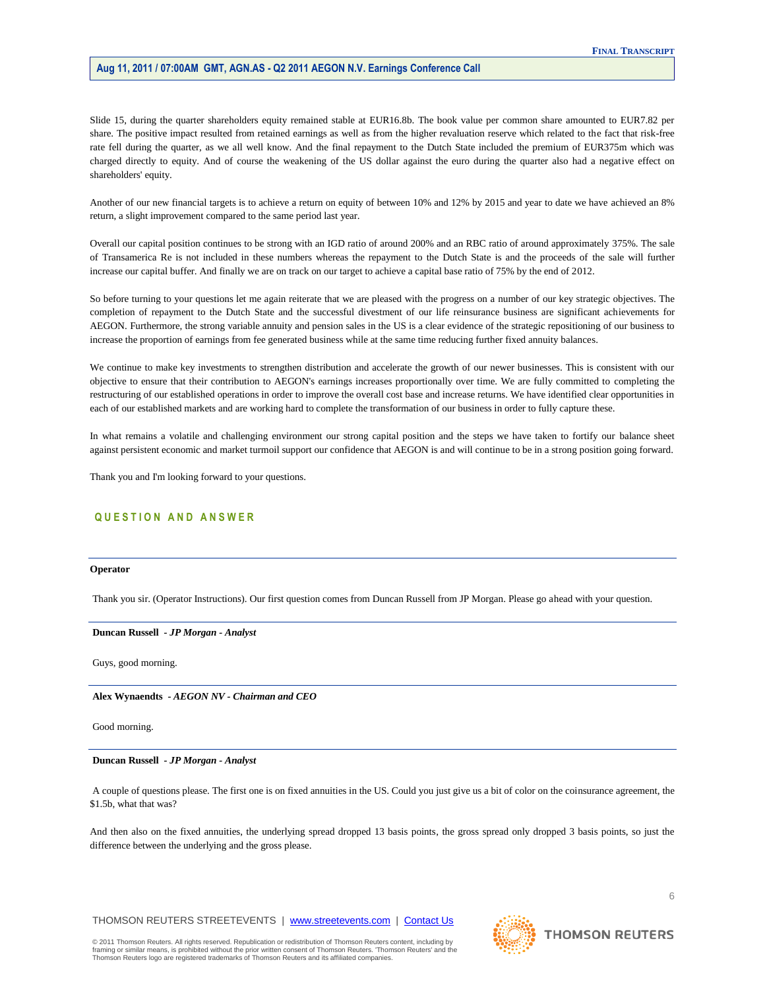Slide 15, during the quarter shareholders equity remained stable at EUR16.8b. The book value per common share amounted to EUR7.82 per share. The positive impact resulted from retained earnings as well as from the higher revaluation reserve which related to the fact that risk-free rate fell during the quarter, as we all well know. And the final repayment to the Dutch State included the premium of EUR375m which was charged directly to equity. And of course the weakening of the US dollar against the euro during the quarter also had a negative effect on shareholders' equity.

Another of our new financial targets is to achieve a return on equity of between 10% and 12% by 2015 and year to date we have achieved an 8% return, a slight improvement compared to the same period last year.

Overall our capital position continues to be strong with an IGD ratio of around 200% and an RBC ratio of around approximately 375%. The sale of Transamerica Re is not included in these numbers whereas the repayment to the Dutch State is and the proceeds of the sale will further increase our capital buffer. And finally we are on track on our target to achieve a capital base ratio of 75% by the end of 2012.

So before turning to your questions let me again reiterate that we are pleased with the progress on a number of our key strategic objectives. The completion of repayment to the Dutch State and the successful divestment of our life reinsurance business are significant achievements for AEGON. Furthermore, the strong variable annuity and pension sales in the US is a clear evidence of the strategic repositioning of our business to increase the proportion of earnings from fee generated business while at the same time reducing further fixed annuity balances.

We continue to make key investments to strengthen distribution and accelerate the growth of our newer businesses. This is consistent with our objective to ensure that their contribution to AEGON's earnings increases proportionally over time. We are fully committed to completing the restructuring of our established operations in order to improve the overall cost base and increase returns. We have identified clear opportunities in each of our established markets and are working hard to complete the transformation of our business in order to fully capture these.

In what remains a volatile and challenging environment our strong capital position and the steps we have taken to fortify our balance sheet against persistent economic and market turmoil support our confidence that AEGON is and will continue to be in a strong position going forward.

Thank you and I'm looking forward to your questions.

# **Q U E S T I O N A N D A N S W E R**

#### **Operator**

Thank you sir. (Operator Instructions). Our first question comes from Duncan Russell from JP Morgan. Please go ahead with your question.

**Duncan Russell** *- JP Morgan - Analyst* 

Guys, good morning.

**Alex Wynaendts** *- AEGON NV - Chairman and CEO* 

Good morning.

#### **Duncan Russell** *- JP Morgan - Analyst*

A couple of questions please. The first one is on fixed annuities in the US. Could you just give us a bit of color on the coinsurance agreement, the \$1.5b, what that was?

And then also on the fixed annuities, the underlying spread dropped 13 basis points, the gross spread only dropped 3 basis points, so just the difference between the underlying and the gross please.



6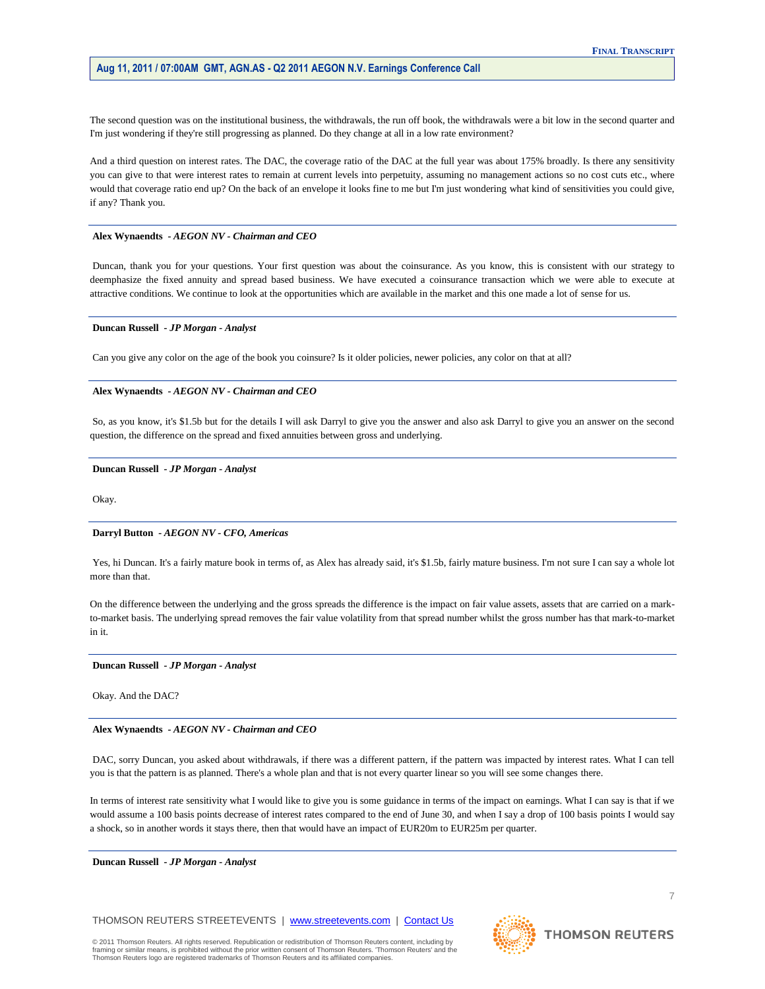The second question was on the institutional business, the withdrawals, the run off book, the withdrawals were a bit low in the second quarter and I'm just wondering if they're still progressing as planned. Do they change at all in a low rate environment?

And a third question on interest rates. The DAC, the coverage ratio of the DAC at the full year was about 175% broadly. Is there any sensitivity you can give to that were interest rates to remain at current levels into perpetuity, assuming no management actions so no cost cuts etc., where would that coverage ratio end up? On the back of an envelope it looks fine to me but I'm just wondering what kind of sensitivities you could give, if any? Thank you.

#### **Alex Wynaendts** *- AEGON NV - Chairman and CEO*

Duncan, thank you for your questions. Your first question was about the coinsurance. As you know, this is consistent with our strategy to deemphasize the fixed annuity and spread based business. We have executed a coinsurance transaction which we were able to execute at attractive conditions. We continue to look at the opportunities which are available in the market and this one made a lot of sense for us.

#### **Duncan Russell** *- JP Morgan - Analyst*

Can you give any color on the age of the book you coinsure? Is it older policies, newer policies, any color on that at all?

## **Alex Wynaendts** *- AEGON NV - Chairman and CEO*

So, as you know, it's \$1.5b but for the details I will ask Darryl to give you the answer and also ask Darryl to give you an answer on the second question, the difference on the spread and fixed annuities between gross and underlying.

#### **Duncan Russell** *- JP Morgan - Analyst*

Okay.

#### **Darryl Button** *- AEGON NV - CFO, Americas*

Yes, hi Duncan. It's a fairly mature book in terms of, as Alex has already said, it's \$1.5b, fairly mature business. I'm not sure I can say a whole lot more than that.

On the difference between the underlying and the gross spreads the difference is the impact on fair value assets, assets that are carried on a markto-market basis. The underlying spread removes the fair value volatility from that spread number whilst the gross number has that mark-to-market in it.

#### **Duncan Russell** *- JP Morgan - Analyst*

Okay. And the DAC?

## **Alex Wynaendts** *- AEGON NV - Chairman and CEO*

DAC, sorry Duncan, you asked about withdrawals, if there was a different pattern, if the pattern was impacted by interest rates. What I can tell you is that the pattern is as planned. There's a whole plan and that is not every quarter linear so you will see some changes there.

In terms of interest rate sensitivity what I would like to give you is some guidance in terms of the impact on earnings. What I can say is that if we would assume a 100 basis points decrease of interest rates compared to the end of June 30, and when I say a drop of 100 basis points I would say a shock, so in another words it stays there, then that would have an impact of EUR20m to EUR25m per quarter.

**Duncan Russell** *- JP Morgan - Analyst* 

THOMSON REUTERS STREETEVENTS | www.streetevents.com | Contact Us

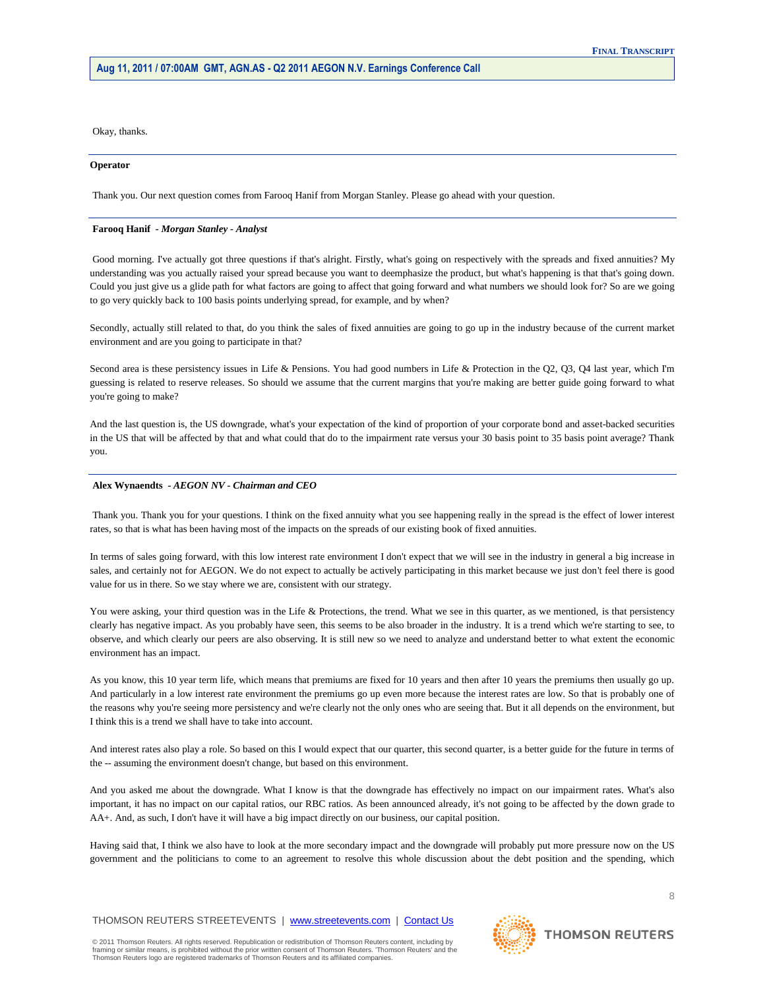Okay, thanks.

#### **Operator**

Thank you. Our next question comes from Farooq Hanif from Morgan Stanley. Please go ahead with your question.

#### **Farooq Hanif** *- Morgan Stanley - Analyst*

Good morning. I've actually got three questions if that's alright. Firstly, what's going on respectively with the spreads and fixed annuities? My understanding was you actually raised your spread because you want to deemphasize the product, but what's happening is that that's going down. Could you just give us a glide path for what factors are going to affect that going forward and what numbers we should look for? So are we going to go very quickly back to 100 basis points underlying spread, for example, and by when?

Secondly, actually still related to that, do you think the sales of fixed annuities are going to go up in the industry because of the current market environment and are you going to participate in that?

Second area is these persistency issues in Life & Pensions. You had good numbers in Life & Protection in the Q2, Q3, Q4 last year, which I'm guessing is related to reserve releases. So should we assume that the current margins that you're making are better guide going forward to what you're going to make?

And the last question is, the US downgrade, what's your expectation of the kind of proportion of your corporate bond and asset-backed securities in the US that will be affected by that and what could that do to the impairment rate versus your 30 basis point to 35 basis point average? Thank you.

## **Alex Wynaendts** *- AEGON NV - Chairman and CEO*

Thank you. Thank you for your questions. I think on the fixed annuity what you see happening really in the spread is the effect of lower interest rates, so that is what has been having most of the impacts on the spreads of our existing book of fixed annuities.

In terms of sales going forward, with this low interest rate environment I don't expect that we will see in the industry in general a big increase in sales, and certainly not for AEGON. We do not expect to actually be actively participating in this market because we just don't feel there is good value for us in there. So we stay where we are, consistent with our strategy.

You were asking, your third question was in the Life & Protections, the trend. What we see in this quarter, as we mentioned, is that persistency clearly has negative impact. As you probably have seen, this seems to be also broader in the industry. It is a trend which we're starting to see, to observe, and which clearly our peers are also observing. It is still new so we need to analyze and understand better to what extent the economic environment has an impact.

As you know, this 10 year term life, which means that premiums are fixed for 10 years and then after 10 years the premiums then usually go up. And particularly in a low interest rate environment the premiums go up even more because the interest rates are low. So that is probably one of the reasons why you're seeing more persistency and we're clearly not the only ones who are seeing that. But it all depends on the environment, but I think this is a trend we shall have to take into account.

And interest rates also play a role. So based on this I would expect that our quarter, this second quarter, is a better guide for the future in terms of the -- assuming the environment doesn't change, but based on this environment.

And you asked me about the downgrade. What I know is that the downgrade has effectively no impact on our impairment rates. What's also important, it has no impact on our capital ratios, our RBC ratios. As been announced already, it's not going to be affected by the down grade to AA+. And, as such, I don't have it will have a big impact directly on our business, our capital position.

Having said that, I think we also have to look at the more secondary impact and the downgrade will probably put more pressure now on the US government and the politicians to come to an agreement to resolve this whole discussion about the debt position and the spending, which

THOMSON REUTERS STREETEVENTS | www.streetevents.com | Contact Us

© 2011 Thomson Reuters. All rights reserved. Republication or redistribution of Thomson Reuters content, including by framing or similar means, is prohibited without the prior written consent of Thomson Reuters. 'Thomson Reuters' and the Thomson Reuters logo are registered trademarks of Thomson Reuters and its affiliated companies.

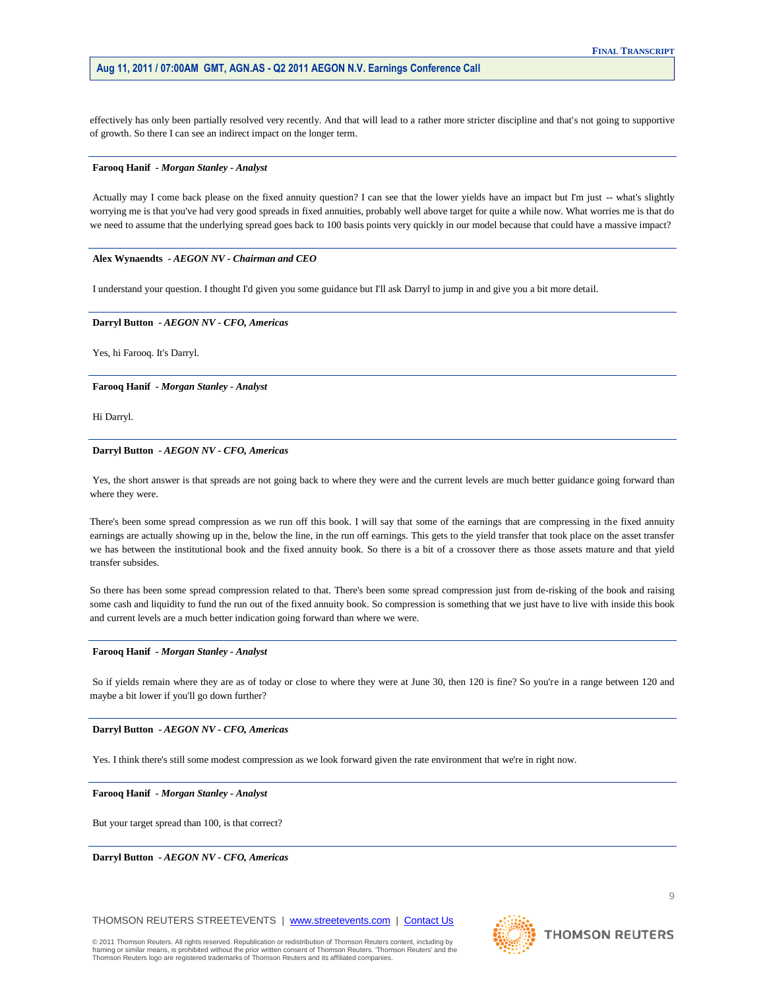effectively has only been partially resolved very recently. And that will lead to a rather more stricter discipline and that's not going to supportive of growth. So there I can see an indirect impact on the longer term.

#### **Farooq Hanif** *- Morgan Stanley - Analyst*

Actually may I come back please on the fixed annuity question? I can see that the lower yields have an impact but I'm just -- what's slightly worrying me is that you've had very good spreads in fixed annuities, probably well above target for quite a while now. What worries me is that do we need to assume that the underlying spread goes back to 100 basis points very quickly in our model because that could have a massive impact?

## **Alex Wynaendts** *- AEGON NV - Chairman and CEO*

I understand your question. I thought I'd given you some guidance but I'll ask Darryl to jump in and give you a bit more detail.

#### **Darryl Button** *- AEGON NV - CFO, Americas*

Yes, hi Farooq. It's Darryl.

#### **Farooq Hanif** *- Morgan Stanley - Analyst*

Hi Darryl.

#### **Darryl Button** *- AEGON NV - CFO, Americas*

Yes, the short answer is that spreads are not going back to where they were and the current levels are much better guidance going forward than where they were.

There's been some spread compression as we run off this book. I will say that some of the earnings that are compressing in the fixed annuity earnings are actually showing up in the, below the line, in the run off earnings. This gets to the yield transfer that took place on the asset transfer we has between the institutional book and the fixed annuity book. So there is a bit of a crossover there as those assets mature and that yield transfer subsides.

So there has been some spread compression related to that. There's been some spread compression just from de-risking of the book and raising some cash and liquidity to fund the run out of the fixed annuity book. So compression is something that we just have to live with inside this book and current levels are a much better indication going forward than where we were.

## **Farooq Hanif** *- Morgan Stanley - Analyst*

So if yields remain where they are as of today or close to where they were at June 30, then 120 is fine? So you're in a range between 120 and maybe a bit lower if you'll go down further?

#### **Darryl Button** *- AEGON NV - CFO, Americas*

Yes. I think there's still some modest compression as we look forward given the rate environment that we're in right now.

**Farooq Hanif** *- Morgan Stanley - Analyst* 

But your target spread than 100, is that correct?

**Darryl Button** *- AEGON NV - CFO, Americas* 



9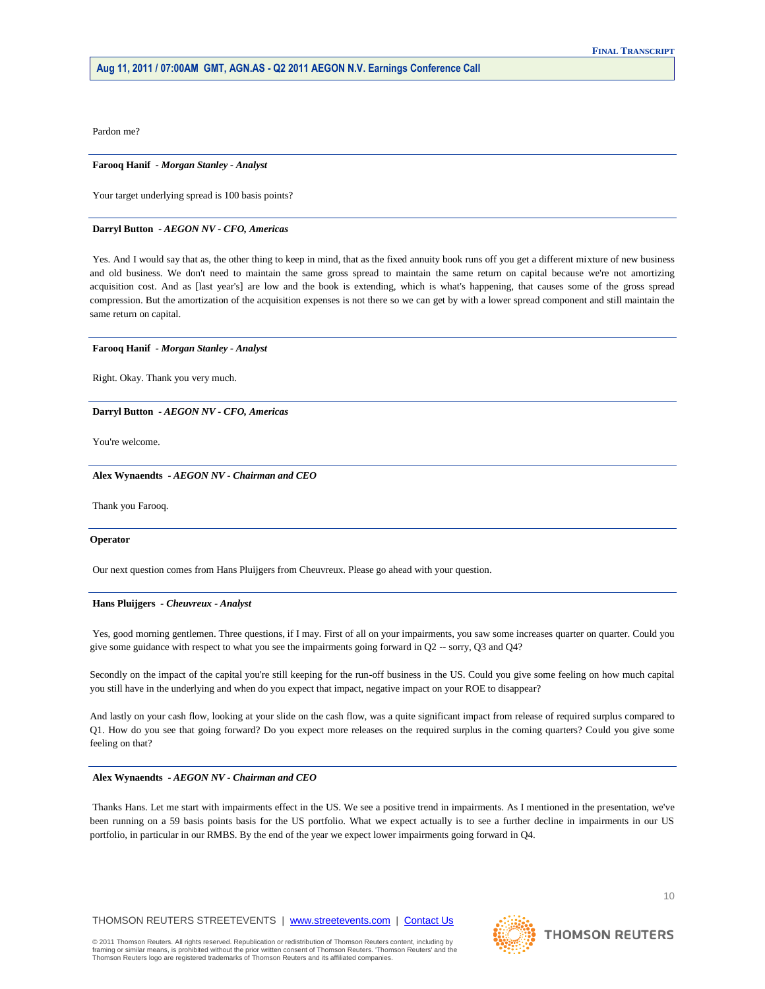Pardon me?

## **Farooq Hanif** *- Morgan Stanley - Analyst*

Your target underlying spread is 100 basis points?

#### **Darryl Button** *- AEGON NV - CFO, Americas*

Yes. And I would say that as, the other thing to keep in mind, that as the fixed annuity book runs off you get a different mixture of new business and old business. We don't need to maintain the same gross spread to maintain the same return on capital because we're not amortizing acquisition cost. And as [last year's] are low and the book is extending, which is what's happening, that causes some of the gross spread compression. But the amortization of the acquisition expenses is not there so we can get by with a lower spread component and still maintain the same return on capital.

#### **Farooq Hanif** *- Morgan Stanley - Analyst*

Right. Okay. Thank you very much.

**Darryl Button** *- AEGON NV - CFO, Americas* 

You're welcome.

**Alex Wynaendts** *- AEGON NV - Chairman and CEO* 

Thank you Farooq.

#### **Operator**

Our next question comes from Hans Pluijgers from Cheuvreux. Please go ahead with your question.

#### **Hans Pluijgers** *- Cheuvreux - Analyst*

Yes, good morning gentlemen. Three questions, if I may. First of all on your impairments, you saw some increases quarter on quarter. Could you give some guidance with respect to what you see the impairments going forward in Q2 -- sorry, Q3 and Q4?

Secondly on the impact of the capital you're still keeping for the run-off business in the US. Could you give some feeling on how much capital you still have in the underlying and when do you expect that impact, negative impact on your ROE to disappear?

And lastly on your cash flow, looking at your slide on the cash flow, was a quite significant impact from release of required surplus compared to Q1. How do you see that going forward? Do you expect more releases on the required surplus in the coming quarters? Could you give some feeling on that?

## **Alex Wynaendts** *- AEGON NV - Chairman and CEO*

Thanks Hans. Let me start with impairments effect in the US. We see a positive trend in impairments. As I mentioned in the presentation, we've been running on a 59 basis points basis for the US portfolio. What we expect actually is to see a further decline in impairments in our US portfolio, in particular in our RMBS. By the end of the year we expect lower impairments going forward in Q4.

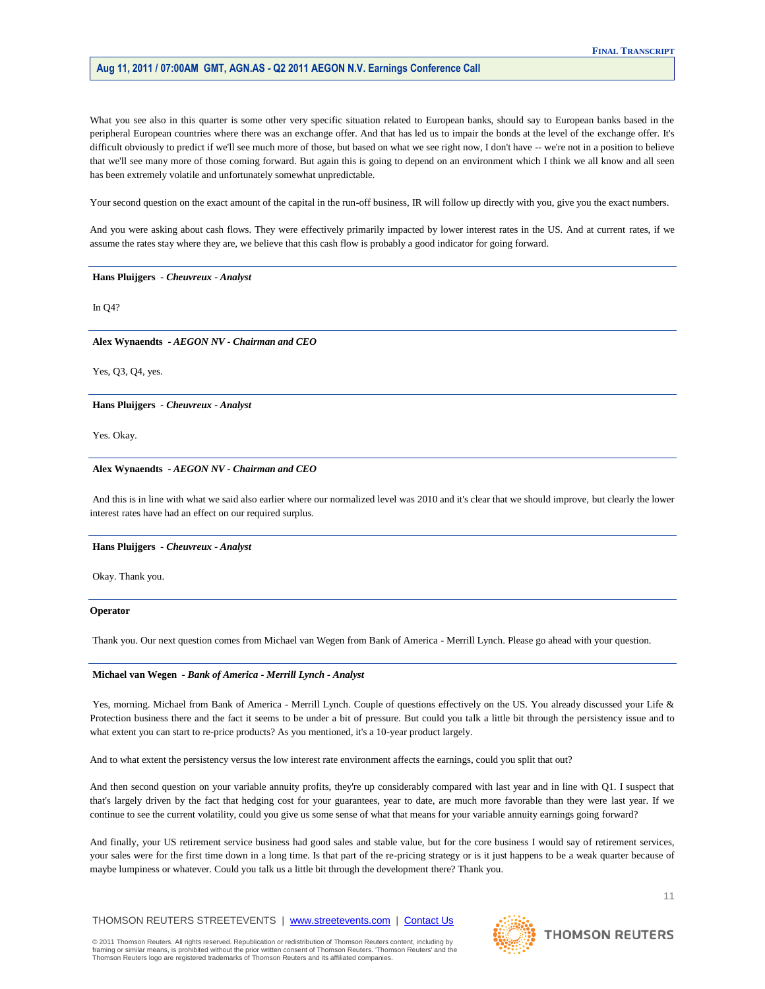What you see also in this quarter is some other very specific situation related to European banks, should say to European banks based in the peripheral European countries where there was an exchange offer. And that has led us to impair the bonds at the level of the exchange offer. It's difficult obviously to predict if we'll see much more of those, but based on what we see right now, I don't have -- we're not in a position to believe that we'll see many more of those coming forward. But again this is going to depend on an environment which I think we all know and all seen has been extremely volatile and unfortunately somewhat unpredictable.

Your second question on the exact amount of the capital in the run-off business, IR will follow up directly with you, give you the exact numbers.

And you were asking about cash flows. They were effectively primarily impacted by lower interest rates in the US. And at current rates, if we assume the rates stay where they are, we believe that this cash flow is probably a good indicator for going forward.

## **Hans Pluijgers** *- Cheuvreux - Analyst*

In Q4?

## **Alex Wynaendts** *- AEGON NV - Chairman and CEO*

Yes, Q3, Q4, yes.

**Hans Pluijgers** *- Cheuvreux - Analyst* 

Yes. Okay.

## **Alex Wynaendts** *- AEGON NV - Chairman and CEO*

And this is in line with what we said also earlier where our normalized level was 2010 and it's clear that we should improve, but clearly the lower interest rates have had an effect on our required surplus.

## **Hans Pluijgers** *- Cheuvreux - Analyst*

Okay. Thank you.

## **Operator**

Thank you. Our next question comes from Michael van Wegen from Bank of America - Merrill Lynch. Please go ahead with your question.

## **Michael van Wegen** *- Bank of America - Merrill Lynch - Analyst*

Yes, morning. Michael from Bank of America - Merrill Lynch. Couple of questions effectively on the US. You already discussed your Life & Protection business there and the fact it seems to be under a bit of pressure. But could you talk a little bit through the persistency issue and to what extent you can start to re-price products? As you mentioned, it's a 10-year product largely.

And to what extent the persistency versus the low interest rate environment affects the earnings, could you split that out?

And then second question on your variable annuity profits, they're up considerably compared with last year and in line with Q1. I suspect that that's largely driven by the fact that hedging cost for your guarantees, year to date, are much more favorable than they were last year. If we continue to see the current volatility, could you give us some sense of what that means for your variable annuity earnings going forward?

And finally, your US retirement service business had good sales and stable value, but for the core business I would say of retirement services, your sales were for the first time down in a long time. Is that part of the re-pricing strategy or is it just happens to be a weak quarter because of maybe lumpiness or whatever. Could you talk us a little bit through the development there? Thank you.

# THOMSON REUTERS STREETEVENTS | www.streetevents.com | Contact Us

© 2011 Thomson Reuters. All rights reserved. Republication or redistribution of Thomson Reuters content, including by framing or similar means, is prohibited without the prior written consent of Thomson Reuters. 'Thomson Reuters' and the Thomson Reuters logo are registered trademarks of Thomson Reuters and its affiliated companies.

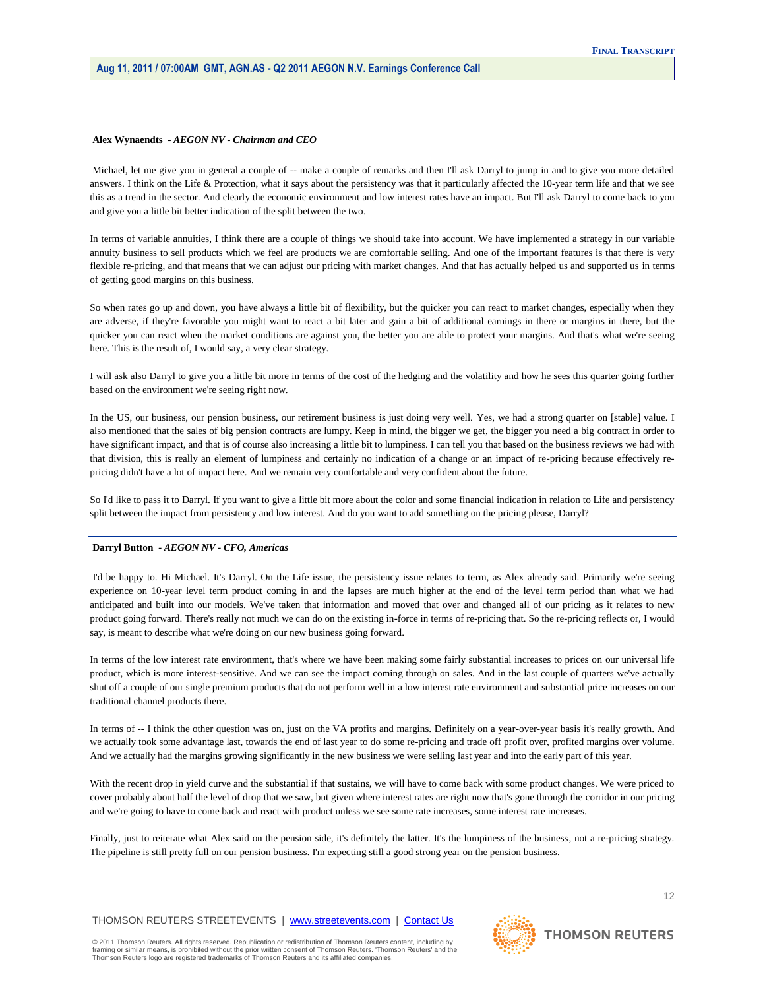#### **Alex Wynaendts** *- AEGON NV - Chairman and CEO*

Michael, let me give you in general a couple of -- make a couple of remarks and then I'll ask Darryl to jump in and to give you more detailed answers. I think on the Life & Protection, what it says about the persistency was that it particularly affected the 10-year term life and that we see this as a trend in the sector. And clearly the economic environment and low interest rates have an impact. But I'll ask Darryl to come back to you and give you a little bit better indication of the split between the two.

In terms of variable annuities, I think there are a couple of things we should take into account. We have implemented a strategy in our variable annuity business to sell products which we feel are products we are comfortable selling. And one of the important features is that there is very flexible re-pricing, and that means that we can adjust our pricing with market changes. And that has actually helped us and supported us in terms of getting good margins on this business.

So when rates go up and down, you have always a little bit of flexibility, but the quicker you can react to market changes, especially when they are adverse, if they're favorable you might want to react a bit later and gain a bit of additional earnings in there or margins in there, but the quicker you can react when the market conditions are against you, the better you are able to protect your margins. And that's what we're seeing here. This is the result of, I would say, a very clear strategy.

I will ask also Darryl to give you a little bit more in terms of the cost of the hedging and the volatility and how he sees this quarter going further based on the environment we're seeing right now.

In the US, our business, our pension business, our retirement business is just doing very well. Yes, we had a strong quarter on [stable] value. I also mentioned that the sales of big pension contracts are lumpy. Keep in mind, the bigger we get, the bigger you need a big contract in order to have significant impact, and that is of course also increasing a little bit to lumpiness. I can tell you that based on the business reviews we had with that division, this is really an element of lumpiness and certainly no indication of a change or an impact of re-pricing because effectively repricing didn't have a lot of impact here. And we remain very comfortable and very confident about the future.

So I'd like to pass it to Darryl. If you want to give a little bit more about the color and some financial indication in relation to Life and persistency split between the impact from persistency and low interest. And do you want to add something on the pricing please, Darryl?

## **Darryl Button** *- AEGON NV - CFO, Americas*

I'd be happy to. Hi Michael. It's Darryl. On the Life issue, the persistency issue relates to term, as Alex already said. Primarily we're seeing experience on 10-year level term product coming in and the lapses are much higher at the end of the level term period than what we had anticipated and built into our models. We've taken that information and moved that over and changed all of our pricing as it relates to new product going forward. There's really not much we can do on the existing in-force in terms of re-pricing that. So the re-pricing reflects or, I would say, is meant to describe what we're doing on our new business going forward.

In terms of the low interest rate environment, that's where we have been making some fairly substantial increases to prices on our universal life product, which is more interest-sensitive. And we can see the impact coming through on sales. And in the last couple of quarters we've actually shut off a couple of our single premium products that do not perform well in a low interest rate environment and substantial price increases on our traditional channel products there.

In terms of -- I think the other question was on, just on the VA profits and margins. Definitely on a year-over-year basis it's really growth. And we actually took some advantage last, towards the end of last year to do some re-pricing and trade off profit over, profited margins over volume. And we actually had the margins growing significantly in the new business we were selling last year and into the early part of this year.

With the recent drop in yield curve and the substantial if that sustains, we will have to come back with some product changes. We were priced to cover probably about half the level of drop that we saw, but given where interest rates are right now that's gone through the corridor in our pricing and we're going to have to come back and react with product unless we see some rate increases, some interest rate increases.

Finally, just to reiterate what Alex said on the pension side, it's definitely the latter. It's the lumpiness of the business, not a re-pricing strategy. The pipeline is still pretty full on our pension business. I'm expecting still a good strong year on the pension business.

## THOMSON REUTERS STREETEVENTS | www.streetevents.com | Contact Us

© 2011 Thomson Reuters. All rights reserved. Republication or redistribution of Thomson Reuters content, including by framing or similar means, is prohibited without the prior written consent of Thomson Reuters. 'Thomson Reuters' and the Thomson Reuters logo are registered trademarks of Thomson Reuters and its affiliated companies.

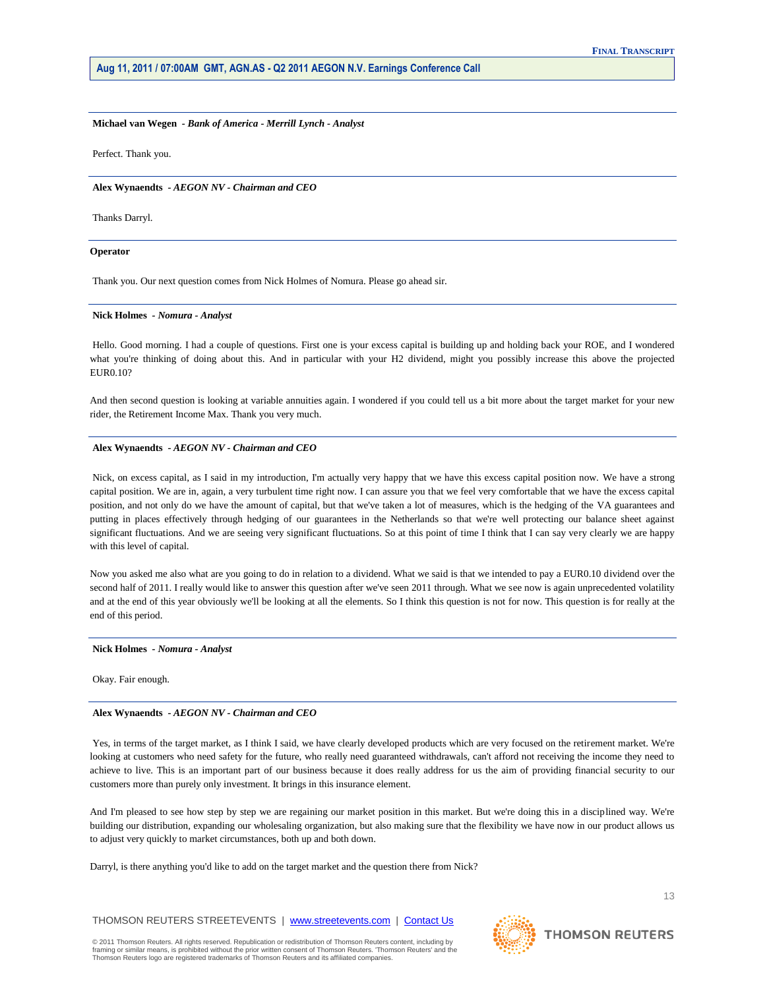#### **Michael van Wegen** *- Bank of America - Merrill Lynch - Analyst*

Perfect. Thank you.

#### **Alex Wynaendts** *- AEGON NV - Chairman and CEO*

Thanks Darryl.

## **Operator**

Thank you. Our next question comes from Nick Holmes of Nomura. Please go ahead sir.

#### **Nick Holmes** *- Nomura - Analyst*

Hello. Good morning. I had a couple of questions. First one is your excess capital is building up and holding back your ROE, and I wondered what you're thinking of doing about this. And in particular with your H2 dividend, might you possibly increase this above the projected EUR0.10?

And then second question is looking at variable annuities again. I wondered if you could tell us a bit more about the target market for your new rider, the Retirement Income Max. Thank you very much.

#### **Alex Wynaendts** *- AEGON NV - Chairman and CEO*

Nick, on excess capital, as I said in my introduction, I'm actually very happy that we have this excess capital position now. We have a strong capital position. We are in, again, a very turbulent time right now. I can assure you that we feel very comfortable that we have the excess capital position, and not only do we have the amount of capital, but that we've taken a lot of measures, which is the hedging of the VA guarantees and putting in places effectively through hedging of our guarantees in the Netherlands so that we're well protecting our balance sheet against significant fluctuations. And we are seeing very significant fluctuations. So at this point of time I think that I can say very clearly we are happy with this level of capital.

Now you asked me also what are you going to do in relation to a dividend. What we said is that we intended to pay a EUR0.10 dividend over the second half of 2011. I really would like to answer this question after we've seen 2011 through. What we see now is again unprecedented volatility and at the end of this year obviously we'll be looking at all the elements. So I think this question is not for now. This question is for really at the end of this period.

#### **Nick Holmes** *- Nomura - Analyst*

Okay. Fair enough.

# **Alex Wynaendts** *- AEGON NV - Chairman and CEO*

Yes, in terms of the target market, as I think I said, we have clearly developed products which are very focused on the retirement market. We're looking at customers who need safety for the future, who really need guaranteed withdrawals, can't afford not receiving the income they need to achieve to live. This is an important part of our business because it does really address for us the aim of providing financial security to our customers more than purely only investment. It brings in this insurance element.

And I'm pleased to see how step by step we are regaining our market position in this market. But we're doing this in a disciplined way. We're building our distribution, expanding our wholesaling organization, but also making sure that the flexibility we have now in our product allows us to adjust very quickly to market circumstances, both up and both down.

Darryl, is there anything you'd like to add on the target market and the question there from Nick?

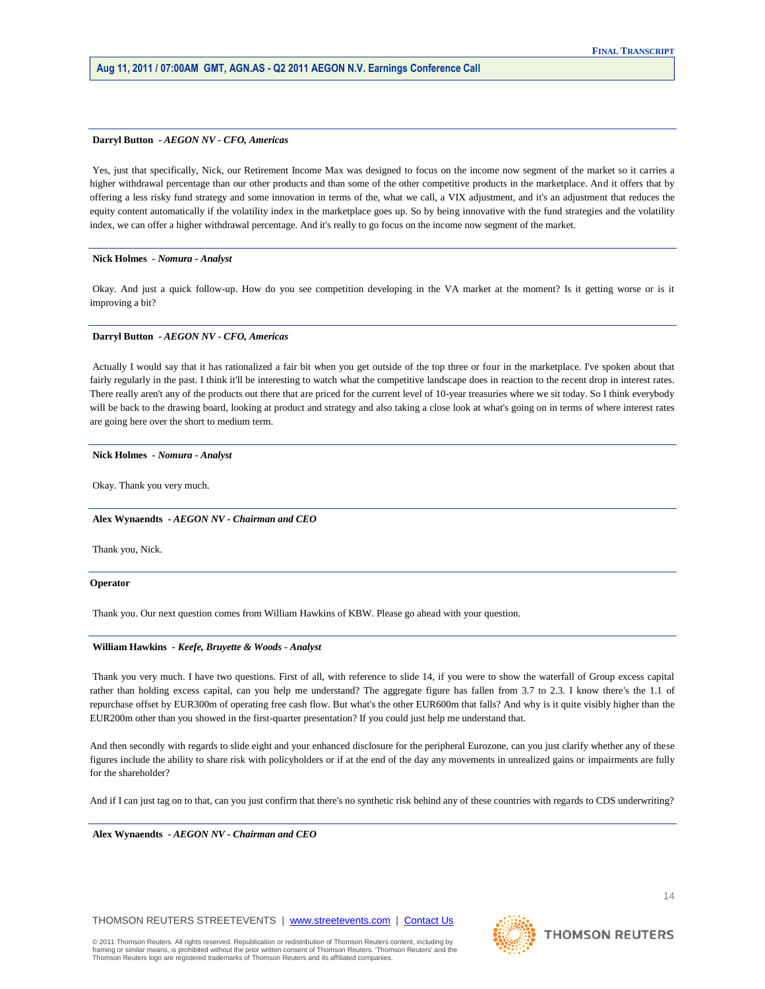#### **Darryl Button** *- AEGON NV - CFO, Americas*

Yes, just that specifically, Nick, our Retirement Income Max was designed to focus on the income now segment of the market so it carries a higher withdrawal percentage than our other products and than some of the other competitive products in the marketplace. And it offers that by offering a less risky fund strategy and some innovation in terms of the, what we call, a VIX adjustment, and it's an adjustment that reduces the equity content automatically if the volatility index in the marketplace goes up. So by being innovative with the fund strategies and the volatility index, we can offer a higher withdrawal percentage. And it's really to go focus on the income now segment of the market.

#### **Nick Holmes** *- Nomura - Analyst*

Okay. And just a quick follow-up. How do you see competition developing in the VA market at the moment? Is it getting worse or is it improving a bit?

## **Darryl Button** *- AEGON NV - CFO, Americas*

Actually I would say that it has rationalized a fair bit when you get outside of the top three or four in the marketplace. I've spoken about that fairly regularly in the past. I think it'll be interesting to watch what the competitive landscape does in reaction to the recent drop in interest rates. There really aren't any of the products out there that are priced for the current level of 10-year treasuries where we sit today. So I think everybody will be back to the drawing board, looking at product and strategy and also taking a close look at what's going on in terms of where interest rates are going here over the short to medium term.

## **Nick Holmes** *- Nomura - Analyst*

Okay. Thank you very much.

#### **Alex Wynaendts** *- AEGON NV - Chairman and CEO*

Thank you, Nick.

## **Operator**

Thank you. Our next question comes from William Hawkins of KBW. Please go ahead with your question.

#### **William Hawkins** *- Keefe, Bruyette & Woods - Analyst*

Thank you very much. I have two questions. First of all, with reference to slide 14, if you were to show the waterfall of Group excess capital rather than holding excess capital, can you help me understand? The aggregate figure has fallen from 3.7 to 2.3. I know there's the 1.1 of repurchase offset by EUR300m of operating free cash flow. But what's the other EUR600m that falls? And why is it quite visibly higher than the EUR200m other than you showed in the first-quarter presentation? If you could just help me understand that.

And then secondly with regards to slide eight and your enhanced disclosure for the peripheral Eurozone, can you just clarify whether any of these figures include the ability to share risk with policyholders or if at the end of the day any movements in unrealized gains or impairments are fully for the shareholder?

And if I can just tag on to that, can you just confirm that there's no synthetic risk behind any of these countries with regards to CDS underwriting?

#### **Alex Wynaendts** *- AEGON NV - Chairman and CEO*

THOMSON REUTERS STREETEVENTS | www.streetevents.com | Contact Us

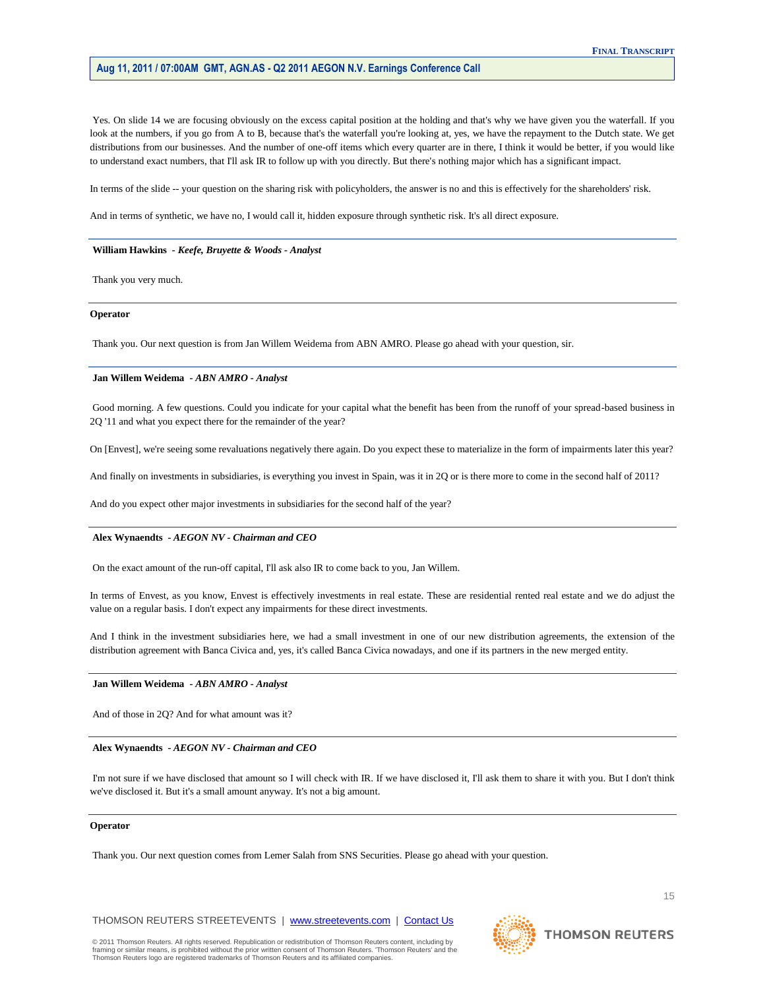Yes. On slide 14 we are focusing obviously on the excess capital position at the holding and that's why we have given you the waterfall. If you look at the numbers, if you go from A to B, because that's the waterfall you're looking at, yes, we have the repayment to the Dutch state. We get distributions from our businesses. And the number of one-off items which every quarter are in there, I think it would be better, if you would like to understand exact numbers, that I'll ask IR to follow up with you directly. But there's nothing major which has a significant impact.

In terms of the slide -- your question on the sharing risk with policyholders, the answer is no and this is effectively for the shareholders' risk.

And in terms of synthetic, we have no, I would call it, hidden exposure through synthetic risk. It's all direct exposure.

## **William Hawkins** *- Keefe, Bruyette & Woods - Analyst*

Thank you very much.

## **Operator**

Thank you. Our next question is from Jan Willem Weidema from ABN AMRO. Please go ahead with your question, sir.

#### **Jan Willem Weidema** *- ABN AMRO - Analyst*

Good morning. A few questions. Could you indicate for your capital what the benefit has been from the runoff of your spread-based business in 2Q '11 and what you expect there for the remainder of the year?

On [Envest], we're seeing some revaluations negatively there again. Do you expect these to materialize in the form of impairments later this year?

And finally on investments in subsidiaries, is everything you invest in Spain, was it in 2Q or is there more to come in the second half of 2011?

And do you expect other major investments in subsidiaries for the second half of the year?

#### **Alex Wynaendts** *- AEGON NV - Chairman and CEO*

On the exact amount of the run-off capital, I'll ask also IR to come back to you, Jan Willem.

In terms of Envest, as you know, Envest is effectively investments in real estate. These are residential rented real estate and we do adjust the value on a regular basis. I don't expect any impairments for these direct investments.

And I think in the investment subsidiaries here, we had a small investment in one of our new distribution agreements, the extension of the distribution agreement with Banca Civica and, yes, it's called Banca Civica nowadays, and one if its partners in the new merged entity.

#### **Jan Willem Weidema** *- ABN AMRO - Analyst*

And of those in 2Q? And for what amount was it?

## **Alex Wynaendts** *- AEGON NV - Chairman and CEO*

I'm not sure if we have disclosed that amount so I will check with IR. If we have disclosed it, I'll ask them to share it with you. But I don't think we've disclosed it. But it's a small amount anyway. It's not a big amount.

#### **Operator**

Thank you. Our next question comes from Lemer Salah from SNS Securities. Please go ahead with your question.

THOMSON REUTERS STREETEVENTS | www.streetevents.com | Contact Us



15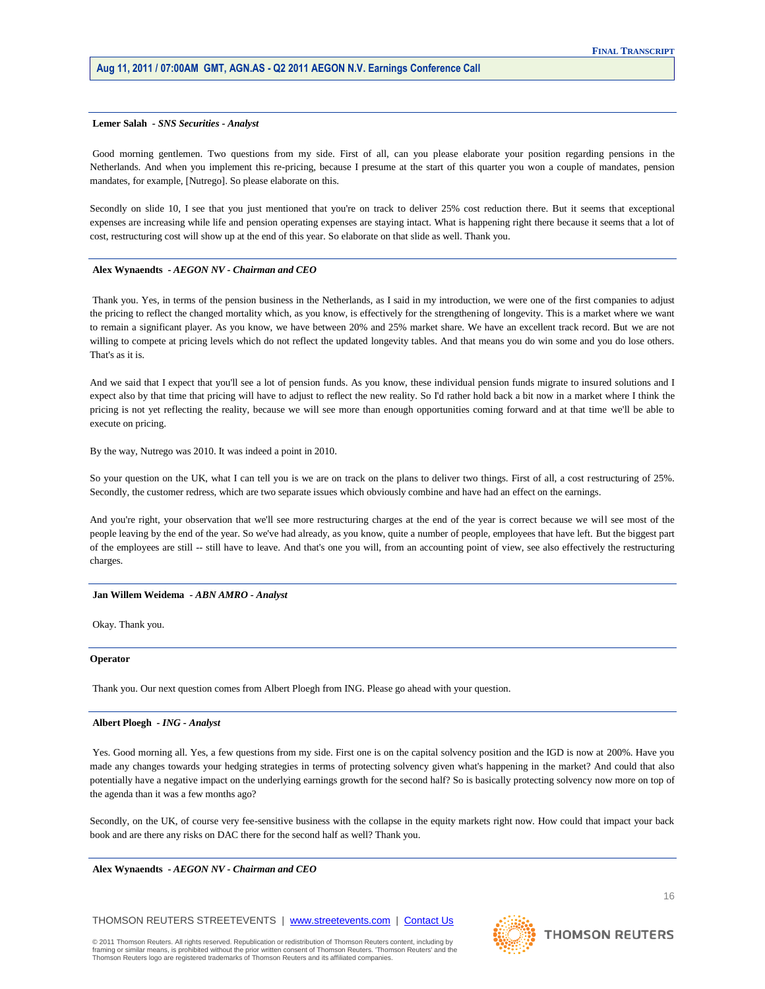#### **Lemer Salah** *- SNS Securities - Analyst*

Good morning gentlemen. Two questions from my side. First of all, can you please elaborate your position regarding pensions in the Netherlands. And when you implement this re-pricing, because I presume at the start of this quarter you won a couple of mandates, pension mandates, for example, [Nutrego]. So please elaborate on this.

Secondly on slide 10, I see that you just mentioned that you're on track to deliver 25% cost reduction there. But it seems that exceptional expenses are increasing while life and pension operating expenses are staying intact. What is happening right there because it seems that a lot of cost, restructuring cost will show up at the end of this year. So elaborate on that slide as well. Thank you.

#### **Alex Wynaendts** *- AEGON NV - Chairman and CEO*

Thank you. Yes, in terms of the pension business in the Netherlands, as I said in my introduction, we were one of the first companies to adjust the pricing to reflect the changed mortality which, as you know, is effectively for the strengthening of longevity. This is a market where we want to remain a significant player. As you know, we have between 20% and 25% market share. We have an excellent track record. But we are not willing to compete at pricing levels which do not reflect the updated longevity tables. And that means you do win some and you do lose others. That's as it is.

And we said that I expect that you'll see a lot of pension funds. As you know, these individual pension funds migrate to insured solutions and I expect also by that time that pricing will have to adjust to reflect the new reality. So I'd rather hold back a bit now in a market where I think the pricing is not yet reflecting the reality, because we will see more than enough opportunities coming forward and at that time we'll be able to execute on pricing.

By the way, Nutrego was 2010. It was indeed a point in 2010.

So your question on the UK, what I can tell you is we are on track on the plans to deliver two things. First of all, a cost restructuring of 25%. Secondly, the customer redress, which are two separate issues which obviously combine and have had an effect on the earnings.

And you're right, your observation that we'll see more restructuring charges at the end of the year is correct because we will see most of the people leaving by the end of the year. So we've had already, as you know, quite a number of people, employees that have left. But the biggest part of the employees are still -- still have to leave. And that's one you will, from an accounting point of view, see also effectively the restructuring charges.

## **Jan Willem Weidema** *- ABN AMRO - Analyst*

Okay. Thank you.

## **Operator**

Thank you. Our next question comes from Albert Ploegh from ING. Please go ahead with your question.

## **Albert Ploegh** *- ING - Analyst*

Yes. Good morning all. Yes, a few questions from my side. First one is on the capital solvency position and the IGD is now at 200%. Have you made any changes towards your hedging strategies in terms of protecting solvency given what's happening in the market? And could that also potentially have a negative impact on the underlying earnings growth for the second half? So is basically protecting solvency now more on top of the agenda than it was a few months ago?

Secondly, on the UK, of course very fee-sensitive business with the collapse in the equity markets right now. How could that impact your back book and are there any risks on DAC there for the second half as well? Thank you.

**Alex Wynaendts** *- AEGON NV - Chairman and CEO* 

THOMSON REUTERS STREETEVENTS | www.streetevents.com | Contact Us

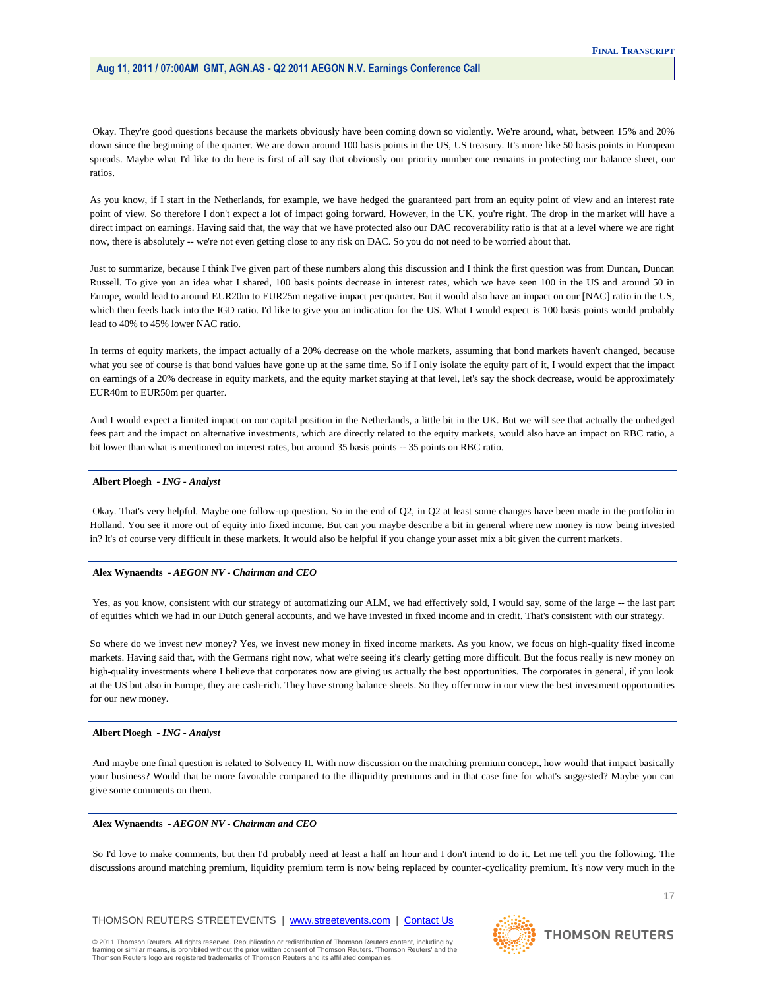Okay. They're good questions because the markets obviously have been coming down so violently. We're around, what, between 15% and 20% down since the beginning of the quarter. We are down around 100 basis points in the US, US treasury. It's more like 50 basis points in European spreads. Maybe what I'd like to do here is first of all say that obviously our priority number one remains in protecting our balance sheet, our ratios.

As you know, if I start in the Netherlands, for example, we have hedged the guaranteed part from an equity point of view and an interest rate point of view. So therefore I don't expect a lot of impact going forward. However, in the UK, you're right. The drop in the market will have a direct impact on earnings. Having said that, the way that we have protected also our DAC recoverability ratio is that at a level where we are right now, there is absolutely -- we're not even getting close to any risk on DAC. So you do not need to be worried about that.

Just to summarize, because I think I've given part of these numbers along this discussion and I think the first question was from Duncan, Duncan Russell. To give you an idea what I shared, 100 basis points decrease in interest rates, which we have seen 100 in the US and around 50 in Europe, would lead to around EUR20m to EUR25m negative impact per quarter. But it would also have an impact on our [NAC] ratio in the US, which then feeds back into the IGD ratio. I'd like to give you an indication for the US. What I would expect is 100 basis points would probably lead to 40% to 45% lower NAC ratio.

In terms of equity markets, the impact actually of a 20% decrease on the whole markets, assuming that bond markets haven't changed, because what you see of course is that bond values have gone up at the same time. So if I only isolate the equity part of it, I would expect that the impact on earnings of a 20% decrease in equity markets, and the equity market staying at that level, let's say the shock decrease, would be approximately EUR40m to EUR50m per quarter.

And I would expect a limited impact on our capital position in the Netherlands, a little bit in the UK. But we will see that actually the unhedged fees part and the impact on alternative investments, which are directly related to the equity markets, would also have an impact on RBC ratio, a bit lower than what is mentioned on interest rates, but around 35 basis points -- 35 points on RBC ratio.

## **Albert Ploegh** *- ING - Analyst*

Okay. That's very helpful. Maybe one follow-up question. So in the end of Q2, in Q2 at least some changes have been made in the portfolio in Holland. You see it more out of equity into fixed income. But can you maybe describe a bit in general where new money is now being invested in? It's of course very difficult in these markets. It would also be helpful if you change your asset mix a bit given the current markets.

#### **Alex Wynaendts** *- AEGON NV - Chairman and CEO*

Yes, as you know, consistent with our strategy of automatizing our ALM, we had effectively sold, I would say, some of the large -- the last part of equities which we had in our Dutch general accounts, and we have invested in fixed income and in credit. That's consistent with our strategy.

So where do we invest new money? Yes, we invest new money in fixed income markets. As you know, we focus on high-quality fixed income markets. Having said that, with the Germans right now, what we're seeing it's clearly getting more difficult. But the focus really is new money on high-quality investments where I believe that corporates now are giving us actually the best opportunities. The corporates in general, if you look at the US but also in Europe, they are cash-rich. They have strong balance sheets. So they offer now in our view the best investment opportunities for our new money.

## **Albert Ploegh** *- ING - Analyst*

And maybe one final question is related to Solvency II. With now discussion on the matching premium concept, how would that impact basically your business? Would that be more favorable compared to the illiquidity premiums and in that case fine for what's suggested? Maybe you can give some comments on them.

## **Alex Wynaendts** *- AEGON NV - Chairman and CEO*

So I'd love to make comments, but then I'd probably need at least a half an hour and I don't intend to do it. Let me tell you the following. The discussions around matching premium, liquidity premium term is now being replaced by counter-cyclicality premium. It's now very much in the

THOMSON REUTERS STREETEVENTS | www.streetevents.com | Contact Us

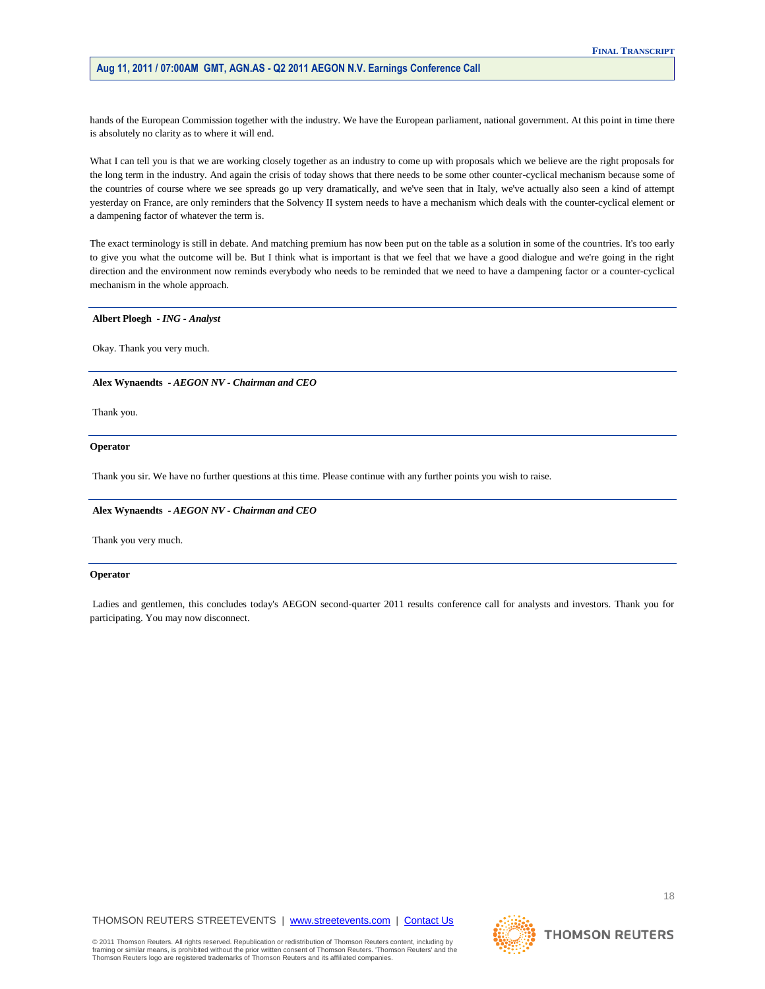hands of the European Commission together with the industry. We have the European parliament, national government. At this point in time there is absolutely no clarity as to where it will end.

What I can tell you is that we are working closely together as an industry to come up with proposals which we believe are the right proposals for the long term in the industry. And again the crisis of today shows that there needs to be some other counter-cyclical mechanism because some of the countries of course where we see spreads go up very dramatically, and we've seen that in Italy, we've actually also seen a kind of attempt yesterday on France, are only reminders that the Solvency II system needs to have a mechanism which deals with the counter-cyclical element or a dampening factor of whatever the term is.

The exact terminology is still in debate. And matching premium has now been put on the table as a solution in some of the countries. It's too early to give you what the outcome will be. But I think what is important is that we feel that we have a good dialogue and we're going in the right direction and the environment now reminds everybody who needs to be reminded that we need to have a dampening factor or a counter-cyclical mechanism in the whole approach.

#### **Albert Ploegh** *- ING - Analyst*

Okay. Thank you very much.

## **Alex Wynaendts** *- AEGON NV - Chairman and CEO*

Thank you.

#### **Operator**

Thank you sir. We have no further questions at this time. Please continue with any further points you wish to raise.

#### **Alex Wynaendts** *- AEGON NV - Chairman and CEO*

Thank you very much.

#### **Operator**

Ladies and gentlemen, this concludes today's AEGON second-quarter 2011 results conference call for analysts and investors. Thank you for participating. You may now disconnect.